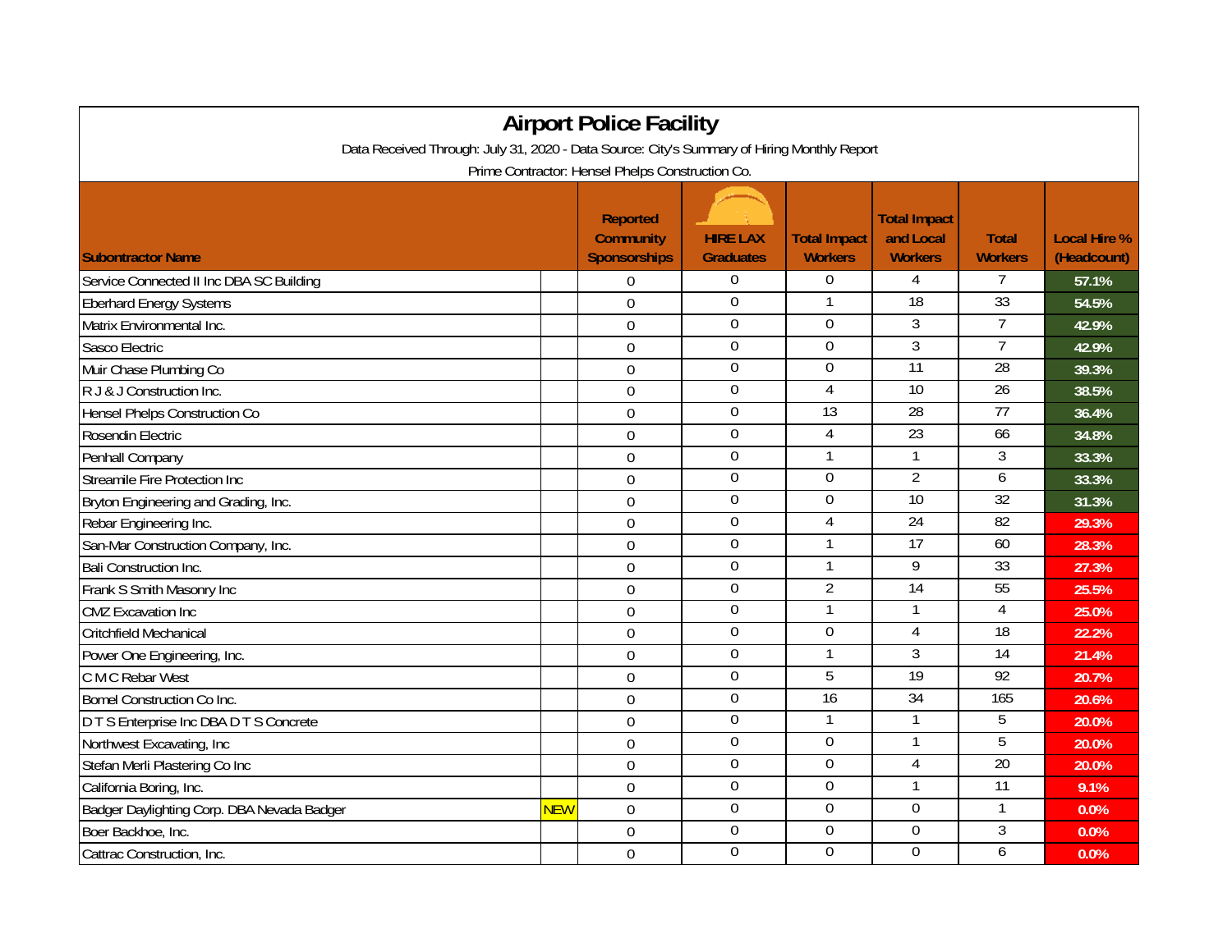| <b>Airport Police Facility</b>                                                              |            |                                                            |                                     |                                       |                                                    |                                |                                    |  |  |  |  |  |
|---------------------------------------------------------------------------------------------|------------|------------------------------------------------------------|-------------------------------------|---------------------------------------|----------------------------------------------------|--------------------------------|------------------------------------|--|--|--|--|--|
| Data Received Through: July 31, 2020 - Data Source: City's Summary of Hiring Monthly Report |            |                                                            |                                     |                                       |                                                    |                                |                                    |  |  |  |  |  |
| Prime Contractor: Hensel Phelps Construction Co.                                            |            |                                                            |                                     |                                       |                                                    |                                |                                    |  |  |  |  |  |
| <b>Subontractor Name</b>                                                                    |            | <b>Reported</b><br><b>Community</b><br><b>Sponsorships</b> | <b>HIRE LAX</b><br><b>Graduates</b> | <b>Total Impact</b><br><b>Workers</b> | <b>Total Impact</b><br>and Local<br><b>Workers</b> | <b>Total</b><br><b>Workers</b> | <b>Local Hire %</b><br>(Headcount) |  |  |  |  |  |
| Service Connected II Inc DBA SC Building                                                    |            | $\Omega$                                                   | 0                                   | $\boldsymbol{0}$                      | 4                                                  | 7                              | 57.1%                              |  |  |  |  |  |
| <b>Eberhard Energy Systems</b>                                                              |            | $\mathbf 0$                                                | $\mathbf{0}$                        | 1                                     | 18                                                 | 33                             | 54.5%                              |  |  |  |  |  |
| Matrix Environmental Inc.                                                                   |            | $\mathbf 0$                                                | $\mathbf 0$                         | $\mathbf 0$                           | 3                                                  | $\overline{7}$                 | 42.9%                              |  |  |  |  |  |
| Sasco Electric                                                                              |            | $\overline{0}$                                             | 0                                   | $\boldsymbol{0}$                      | $\overline{3}$                                     | $\overline{7}$                 | 42.9%                              |  |  |  |  |  |
| Muir Chase Plumbing Co                                                                      |            | $\overline{0}$                                             | 0                                   | $\Omega$                              | $\overline{11}$                                    | $\overline{28}$                | 39.3%                              |  |  |  |  |  |
| R J & J Construction Inc.                                                                   |            | $\boldsymbol{0}$                                           | $\boldsymbol{0}$                    | $\overline{4}$                        | $\overline{10}$                                    | $\overline{26}$                | 38.5%                              |  |  |  |  |  |
| <b>Hensel Phelps Construction Co</b>                                                        |            | $\mathbf 0$                                                | $\boldsymbol{0}$                    | 13                                    | $\overline{28}$                                    | $\overline{77}$                | 36.4%                              |  |  |  |  |  |
| Rosendin Electric                                                                           |            | $\mathbf 0$                                                | $\boldsymbol{0}$                    | 4                                     | 23                                                 | 66                             | 34.8%                              |  |  |  |  |  |
| Penhall Company                                                                             |            | $\mathbf 0$                                                | $\boldsymbol{0}$                    | $\mathbf{1}$                          | $\mathbf{1}$                                       | 3                              | 33.3%                              |  |  |  |  |  |
| <b>Streamile Fire Protection Inc</b>                                                        |            | $\overline{0}$                                             | $\overline{0}$                      | $\overline{0}$                        | $\overline{2}$                                     | $\overline{6}$                 | 33.3%                              |  |  |  |  |  |
| Bryton Engineering and Grading, Inc.                                                        |            | $\boldsymbol{0}$                                           | $\overline{0}$                      | $\Omega$                              | 10                                                 | 32                             | 31.3%                              |  |  |  |  |  |
| Rebar Engineering Inc.                                                                      |            | $\mathbf 0$                                                | $\boldsymbol{0}$                    | 4                                     | 24                                                 | 82                             | 29.3%                              |  |  |  |  |  |
| San-Mar Construction Company, Inc.                                                          |            | $\overline{0}$                                             | $\boldsymbol{0}$                    |                                       | $\overline{17}$                                    | 60                             | 28.3%                              |  |  |  |  |  |
| <b>Bali Construction Inc.</b>                                                               |            | $\Omega$                                                   | $\mathbf 0$                         | $\mathbf{1}$                          | $\overline{9}$                                     | 33                             | 27.3%                              |  |  |  |  |  |
| Frank S Smith Masonry Inc                                                                   |            | $\overline{0}$                                             | 0                                   | 2                                     | 14                                                 | 55                             | 25.5%                              |  |  |  |  |  |
| <b>CMZ</b> Excavation Inc                                                                   |            | $\overline{0}$                                             | 0                                   | 1                                     | $\mathbf{1}$                                       | $\overline{4}$                 | 25.0%                              |  |  |  |  |  |
| Critchfield Mechanical                                                                      |            | $\overline{0}$                                             | 0                                   | $\boldsymbol{0}$                      | 4                                                  | 18                             | 22.2%                              |  |  |  |  |  |
| Power One Engineering, Inc.                                                                 |            | $\mathbf 0$                                                | $\boldsymbol{0}$                    | 1                                     | $\overline{3}$                                     | 14                             | 21.4%                              |  |  |  |  |  |
| C M C Rebar West                                                                            |            | $\Omega$                                                   | $\boldsymbol{0}$                    | $\overline{5}$                        | 19                                                 | 92                             | 20.7%                              |  |  |  |  |  |
| <b>Bomel Construction Co Inc.</b>                                                           |            | $\overline{0}$                                             | $\boldsymbol{0}$                    | 16                                    | 34                                                 | 165                            | 20.6%                              |  |  |  |  |  |
| D T S Enterprise Inc DBA D T S Concrete                                                     |            | $\mathbf 0$                                                | $\overline{0}$                      | 1                                     | 1                                                  | 5                              | 20.0%                              |  |  |  |  |  |
| Northwest Excavating, Inc.                                                                  |            | $\mathbf 0$                                                | $\boldsymbol{0}$                    | $\mathbf 0$                           | $\mathbf{1}$                                       | $\overline{5}$                 | 20.0%                              |  |  |  |  |  |
| Stefan Merli Plastering Co Inc                                                              |            | $\Omega$                                                   | $\mathbf 0$                         | $\overline{0}$                        | 4                                                  | 20                             | 20.0%                              |  |  |  |  |  |
| California Boring, Inc.                                                                     |            | $\overline{0}$                                             | $\overline{0}$                      | $\overline{0}$                        | 1                                                  | $\overline{11}$                | 9.1%                               |  |  |  |  |  |
| Badger Daylighting Corp. DBA Nevada Badger                                                  | <b>NEW</b> | $\mathbf 0$                                                | $\overline{0}$                      | $\boldsymbol{0}$                      | $\overline{0}$                                     |                                | 0.0%                               |  |  |  |  |  |
| Boer Backhoe, Inc.                                                                          |            | $\mathbf 0$                                                | $\boldsymbol{0}$                    | $\mathbf 0$                           | $\mathbf 0$                                        | 3                              | 0.0%                               |  |  |  |  |  |
| Cattrac Construction, Inc.                                                                  |            | $\overline{0}$                                             | 0                                   | $\Omega$                              | $\overline{0}$                                     | 6                              | 0.0%                               |  |  |  |  |  |